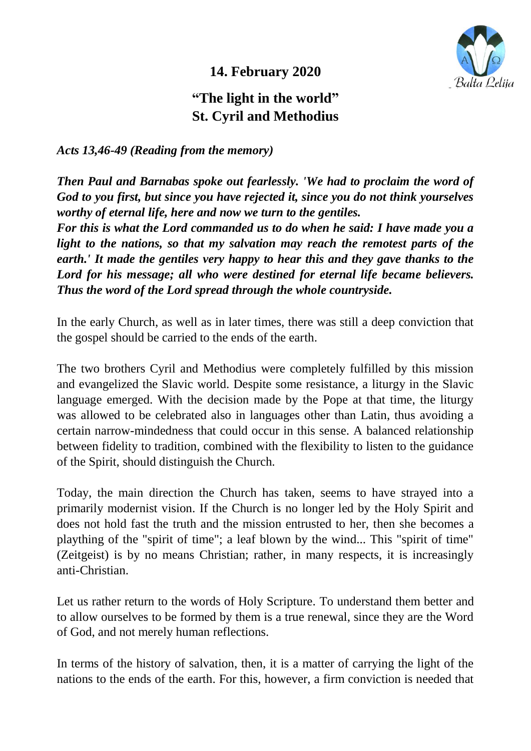

**14. February 2020** 

## **"The light in the world" St. Cyril and Methodius**

*Acts 13,46-49 (Reading from the memory)*

*Then Paul and Barnabas spoke out fearlessly. 'We had to proclaim the word of God to you first, but since you have rejected it, since you do not think yourselves worthy of eternal life, here and now we turn to the gentiles.*

*For this is what the Lord commanded us to do when he said: I have made you a light to the nations, so that my salvation may reach the remotest parts of the earth.' It made the gentiles very happy to hear this and they gave thanks to the Lord for his message; all who were destined for eternal life became believers. Thus the word of the Lord spread through the whole countryside.*

In the early Church, as well as in later times, there was still a deep conviction that the gospel should be carried to the ends of the earth.

The two brothers Cyril and Methodius were completely fulfilled by this mission and evangelized the Slavic world. Despite some resistance, a liturgy in the Slavic language emerged. With the decision made by the Pope at that time, the liturgy was allowed to be celebrated also in languages other than Latin, thus avoiding a certain narrow-mindedness that could occur in this sense. A balanced relationship between fidelity to tradition, combined with the flexibility to listen to the guidance of the Spirit, should distinguish the Church.

Today, the main direction the Church has taken, seems to have strayed into a primarily modernist vision. If the Church is no longer led by the Holy Spirit and does not hold fast the truth and the mission entrusted to her, then she becomes a plaything of the "spirit of time"; a leaf blown by the wind... This "spirit of time" (Zeitgeist) is by no means Christian; rather, in many respects, it is increasingly anti-Christian.

Let us rather return to the words of Holy Scripture. To understand them better and to allow ourselves to be formed by them is a true renewal, since they are the Word of God, and not merely human reflections.

In terms of the history of salvation, then, it is a matter of carrying the light of the nations to the ends of the earth. For this, however, a firm conviction is needed that